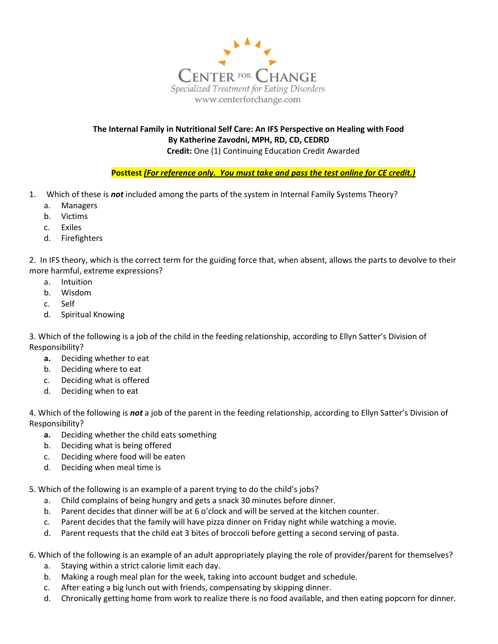

The Internal Family in Nutritional Self Care: An IFS Perspective on Healing with Food By Katherine Zavodni, MPH, RD, CD, CEDRD Credit: One (1) Continuing Education Credit Awarded

Posttest (For reference only. You must take and pass the test online for CE credit.)

- 1. Which of these is **not** included among the parts of the system in Internal Family Systems Theory?
	- a. Managers
	- b. Victims
	- c. Exiles
	- d. Firefighters

2. In IFS theory, which is the correct term for the guiding force that, when absent, allows the parts to devolve to their more harmful, extreme expressions?

- a. Intuition
- b. Wisdom
- c. Self
- d. Spiritual Knowing

3. Which of the following is a job of the child in the feeding relationship, according to Ellyn Satter's Division of Responsibility?

- a. Deciding whether to eat
- b. Deciding where to eat
- c. Deciding what is offered
- d. Deciding when to eat

4. Which of the following is not a job of the parent in the feeding relationship, according to Ellyn Satter's Division of Responsibility?

- a. Deciding whether the child eats something
- b. Deciding what is being offered
- c. Deciding where food will be eaten
- d. Deciding when meal time is

5. Which of the following is an example of a parent trying to do the child's jobs?

- a. Child complains of being hungry and gets a snack 30 minutes before dinner.
- b. Parent decides that dinner will be at 6 o'clock and will be served at the kitchen counter.
- c. Parent decides that the family will have pizza dinner on Friday night while watching a movie.
- d. Parent requests that the child eat 3 bites of broccoli before getting a second serving of pasta.
- 6. Which of the following is an example of an adult appropriately playing the role of provider/parent for themselves?
	- a. Staying within a strict calorie limit each day.
	- b. Making a rough meal plan for the week, taking into account budget and schedule.
	- c. After eating a big lunch out with friends, compensating by skipping dinner.
	- d. Chronically getting home from work to realize there is no food available, and then eating popcorn for dinner.